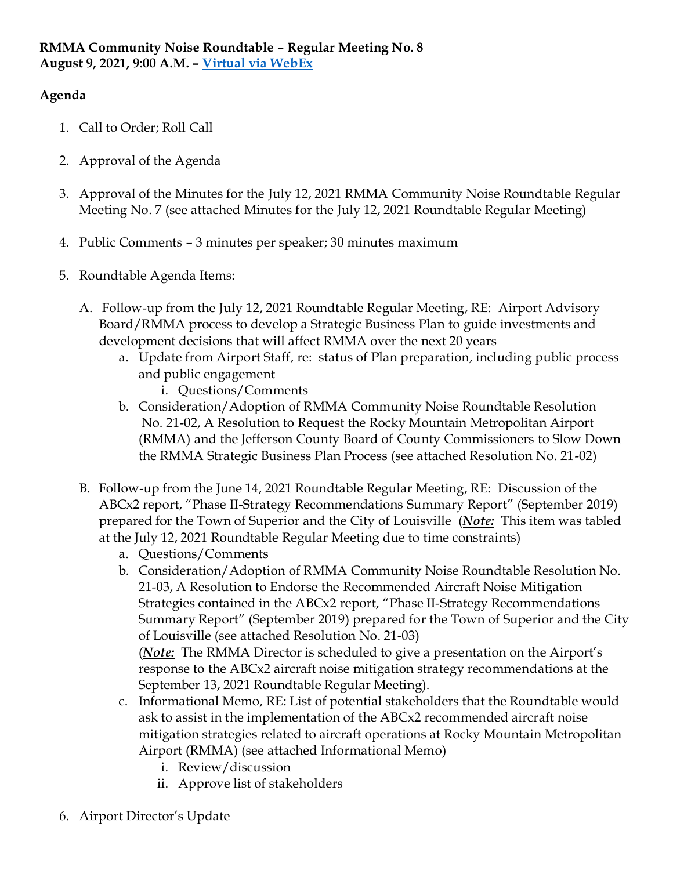# **Agenda**

- 1. Call to Order; Roll Call
- 2. Approval of the Agenda
- 3. Approval of the Minutes for the July 12, 2021 RMMA Community Noise Roundtable Regular Meeting No. 7 (see attached Minutes for the July 12, 2021 Roundtable Regular Meeting)
- 4. Public Comments 3 minutes per speaker; 30 minutes maximum
- 5. Roundtable Agenda Items:
	- A. Follow-up from the July 12, 2021 Roundtable Regular Meeting, RE: Airport Advisory Board/RMMA process to develop a Strategic Business Plan to guide investments and development decisions that will affect RMMA over the next 20 years
		- a. Update from Airport Staff, re: status of Plan preparation, including public process and public engagement
			- i. Questions/Comments
		- b. Consideration/Adoption of RMMA Community Noise Roundtable Resolution No. 21-02, A Resolution to Request the Rocky Mountain Metropolitan Airport (RMMA) and the Jefferson County Board of County Commissioners to Slow Down the RMMA Strategic Business Plan Process (see attached Resolution No. 21-02)
	- B. Follow-up from the June 14, 2021 Roundtable Regular Meeting, RE: Discussion of the ABCx2 report, "Phase II-Strategy Recommendations Summary Report" (September 2019) prepared for the Town of Superior and the City of Louisville (*Note:* This item was tabled at the July 12, 2021 Roundtable Regular Meeting due to time constraints)
		- a. Questions/Comments
		- b. Consideration/Adoption of RMMA Community Noise Roundtable Resolution No. 21-03, A Resolution to Endorse the Recommended Aircraft Noise Mitigation Strategies contained in the ABCx2 report, "Phase II-Strategy Recommendations Summary Report" (September 2019) prepared for the Town of Superior and the City of Louisville (see attached Resolution No. 21-03) (*Note:* The RMMA Director is scheduled to give a presentation on the Airport's

response to the ABCx2 aircraft noise mitigation strategy recommendations at the September 13, 2021 Roundtable Regular Meeting).

- c. Informational Memo, RE: List of potential stakeholders that the Roundtable would ask to assist in the implementation of the ABCx2 recommended aircraft noise mitigation strategies related to aircraft operations at Rocky Mountain Metropolitan Airport (RMMA) (see attached Informational Memo)
	- i. Review/discussion
	- ii. Approve list of stakeholders
- 6. Airport Director's Update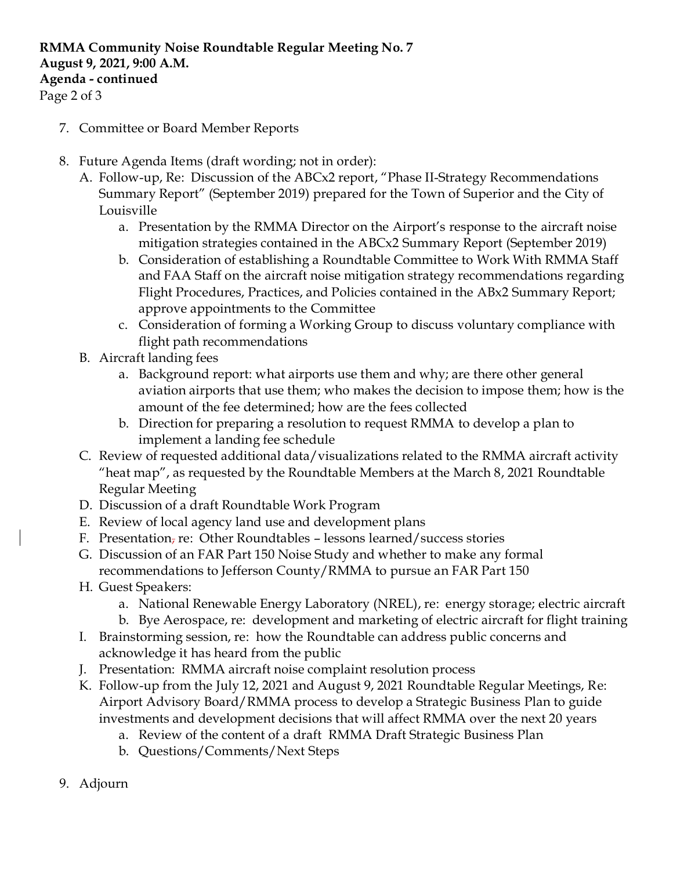# **RMMA Community Noise Roundtable Regular Meeting No. 7 August 9, 2021, 9:00 A.M. Agenda - continued**

Page 2 of 3

- 7. Committee or Board Member Reports
- 8. Future Agenda Items (draft wording; not in order):
	- A. Follow-up, Re: Discussion of the ABCx2 report, "Phase II-Strategy Recommendations Summary Report" (September 2019) prepared for the Town of Superior and the City of Louisville
		- a. Presentation by the RMMA Director on the Airport's response to the aircraft noise mitigation strategies contained in the ABCx2 Summary Report (September 2019)
		- b. Consideration of establishing a Roundtable Committee to Work With RMMA Staff and FAA Staff on the aircraft noise mitigation strategy recommendations regarding Flight Procedures, Practices, and Policies contained in the ABx2 Summary Report; approve appointments to the Committee
		- c. Consideration of forming a Working Group to discuss voluntary compliance with flight path recommendations
	- B. Aircraft landing fees
		- a. Background report: what airports use them and why; are there other general aviation airports that use them; who makes the decision to impose them; how is the amount of the fee determined; how are the fees collected
		- b. Direction for preparing a resolution to request RMMA to develop a plan to implement a landing fee schedule
	- C. Review of requested additional data/visualizations related to the RMMA aircraft activity "heat map", as requested by the Roundtable Members at the March 8, 2021 Roundtable Regular Meeting
	- D. Discussion of a draft Roundtable Work Program
	- E. Review of local agency land use and development plans
	- F. Presentation, re: Other Roundtables lessons learned/success stories
	- G. Discussion of an FAR Part 150 Noise Study and whether to make any formal recommendations to Jefferson County/RMMA to pursue an FAR Part 150
	- H. Guest Speakers:
		- a. National Renewable Energy Laboratory (NREL), re: energy storage; electric aircraft
		- b. Bye Aerospace, re: development and marketing of electric aircraft for flight training
	- I. Brainstorming session, re: how the Roundtable can address public concerns and acknowledge it has heard from the public
	- J. Presentation: RMMA aircraft noise complaint resolution process
	- K. Follow-up from the July 12, 2021 and August 9, 2021 Roundtable Regular Meetings, Re: Airport Advisory Board/RMMA process to develop a Strategic Business Plan to guide investments and development decisions that will affect RMMA over the next 20 years
		- a. Review of the content of a draft RMMA Draft Strategic Business Plan
		- b. Questions/Comments/Next Steps
- 9. Adjourn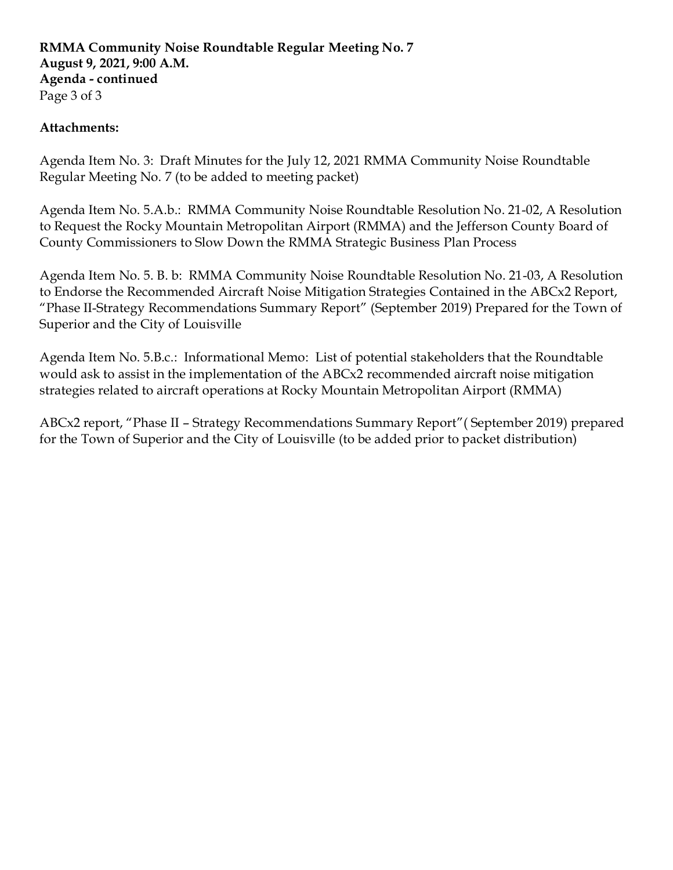### **RMMA Community Noise Roundtable Regular Meeting No. 7 August 9, 2021, 9:00 A.M. Agenda - continued** Page 3 of 3

### **Attachments:**

Agenda Item No. 3: Draft Minutes for the July 12, 2021 RMMA Community Noise Roundtable Regular Meeting No. 7 (to be added to meeting packet)

Agenda Item No. 5.A.b.: RMMA Community Noise Roundtable Resolution No. 21-02, A Resolution to Request the Rocky Mountain Metropolitan Airport (RMMA) and the Jefferson County Board of County Commissioners to Slow Down the RMMA Strategic Business Plan Process

Agenda Item No. 5. B. b: RMMA Community Noise Roundtable Resolution No. 21-03, A Resolution to Endorse the Recommended Aircraft Noise Mitigation Strategies Contained in the ABCx2 Report, "Phase II-Strategy Recommendations Summary Report" (September 2019) Prepared for the Town of Superior and the City of Louisville

Agenda Item No. 5.B.c.: Informational Memo: List of potential stakeholders that the Roundtable would ask to assist in the implementation of the ABCx2 recommended aircraft noise mitigation strategies related to aircraft operations at Rocky Mountain Metropolitan Airport (RMMA)

ABCx2 report, "Phase II – Strategy Recommendations Summary Report"( September 2019) prepared for the Town of Superior and the City of Louisville (to be added prior to packet distribution)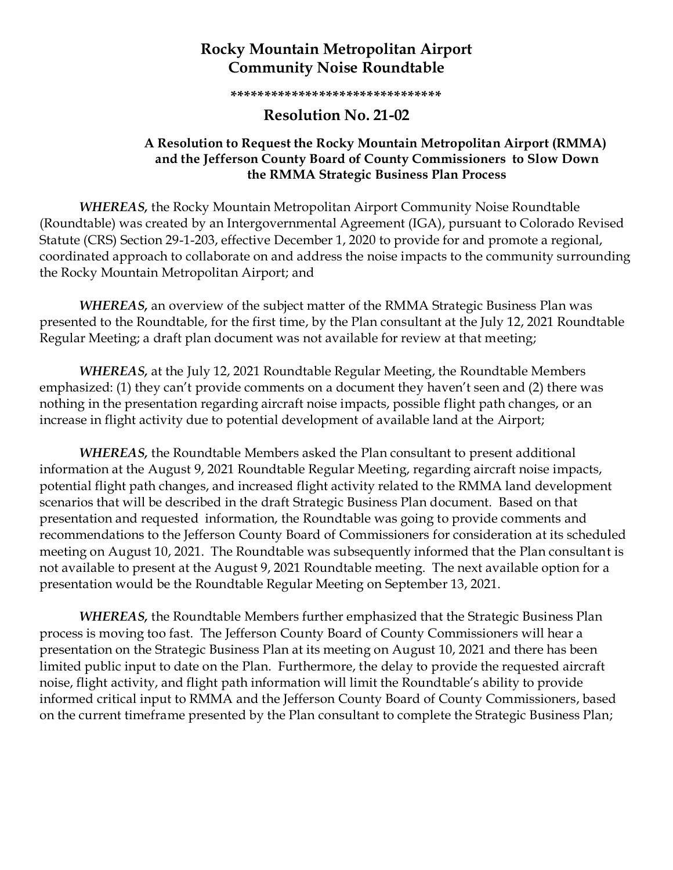# **Rocky Mountain Metropolitan Airport Community Noise Roundtable**

**\*\*\*\*\*\*\*\*\*\*\*\*\*\*\*\*\*\*\*\*\*\*\*\*\*\*\*\*\*\*\***

### **Resolution No. 21-02**

### **A Resolution to Request the Rocky Mountain Metropolitan Airport (RMMA) and the Jefferson County Board of County Commissioners to Slow Down the RMMA Strategic Business Plan Process**

*WHEREAS,* the Rocky Mountain Metropolitan Airport Community Noise Roundtable (Roundtable) was created by an Intergovernmental Agreement (IGA), pursuant to Colorado Revised Statute (CRS) Section 29-1-203, effective December 1, 2020 to provide for and promote a regional, coordinated approach to collaborate on and address the noise impacts to the community surrounding the Rocky Mountain Metropolitan Airport; and

*WHEREAS,* an overview of the subject matter of the RMMA Strategic Business Plan was presented to the Roundtable, for the first time, by the Plan consultant at the July 12, 2021 Roundtable Regular Meeting; a draft plan document was not available for review at that meeting;

*WHEREAS,* at the July 12, 2021 Roundtable Regular Meeting, the Roundtable Members emphasized: (1) they can't provide comments on a document they haven't seen and (2) there was nothing in the presentation regarding aircraft noise impacts, possible flight path changes, or an increase in flight activity due to potential development of available land at the Airport;

*WHEREAS,* the Roundtable Members asked the Plan consultant to present additional information at the August 9, 2021 Roundtable Regular Meeting, regarding aircraft noise impacts, potential flight path changes, and increased flight activity related to the RMMA land development scenarios that will be described in the draft Strategic Business Plan document. Based on that presentation and requested information, the Roundtable was going to provide comments and recommendations to the Jefferson County Board of Commissioners for consideration at its scheduled meeting on August 10, 2021. The Roundtable was subsequently informed that the Plan consultant is not available to present at the August 9, 2021 Roundtable meeting. The next available option for a presentation would be the Roundtable Regular Meeting on September 13, 2021.

*WHEREAS,* the Roundtable Members further emphasized that the Strategic Business Plan process is moving too fast. The Jefferson County Board of County Commissioners will hear a presentation on the Strategic Business Plan at its meeting on August 10, 2021 and there has been limited public input to date on the Plan. Furthermore, the delay to provide the requested aircraft noise, flight activity, and flight path information will limit the Roundtable's ability to provide informed critical input to RMMA and the Jefferson County Board of County Commissioners, based on the current timeframe presented by the Plan consultant to complete the Strategic Business Plan;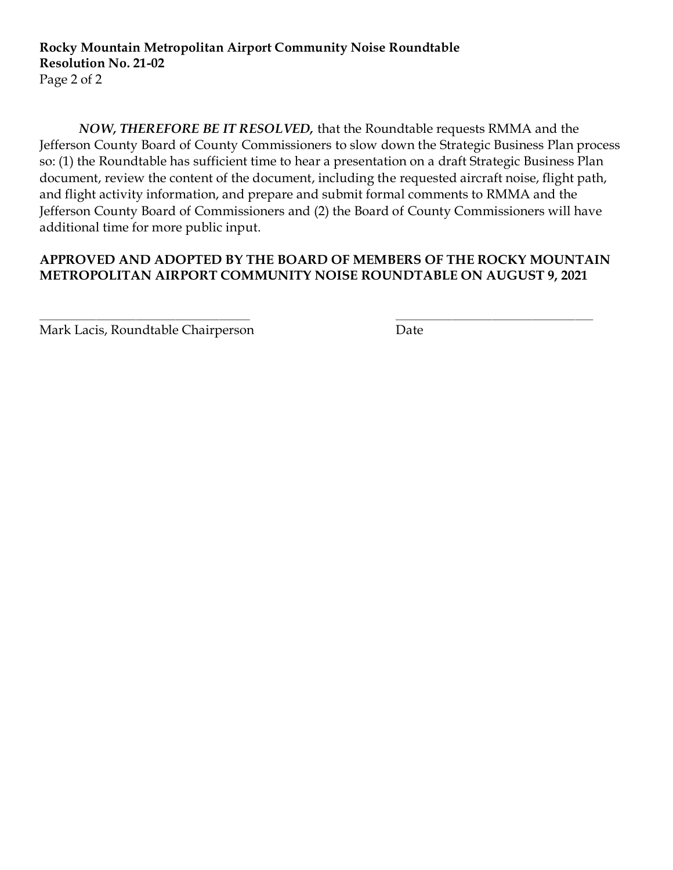*NOW, THEREFORE BE IT RESOLVED,* that the Roundtable requests RMMA and the Jefferson County Board of County Commissioners to slow down the Strategic Business Plan process so: (1) the Roundtable has sufficient time to hear a presentation on a draft Strategic Business Plan document, review the content of the document, including the requested aircraft noise, flight path, and flight activity information, and prepare and submit formal comments to RMMA and the Jefferson County Board of Commissioners and (2) the Board of County Commissioners will have additional time for more public input.

### **APPROVED AND ADOPTED BY THE BOARD OF MEMBERS OF THE ROCKY MOUNTAIN METROPOLITAN AIRPORT COMMUNITY NOISE ROUNDTABLE ON AUGUST 9, 2021**

 $\frac{1}{2}$  ,  $\frac{1}{2}$  ,  $\frac{1}{2}$  ,  $\frac{1}{2}$  ,  $\frac{1}{2}$  ,  $\frac{1}{2}$  ,  $\frac{1}{2}$  ,  $\frac{1}{2}$  ,  $\frac{1}{2}$  ,  $\frac{1}{2}$  ,  $\frac{1}{2}$  ,  $\frac{1}{2}$  ,  $\frac{1}{2}$  ,  $\frac{1}{2}$  ,  $\frac{1}{2}$  ,  $\frac{1}{2}$  ,  $\frac{1}{2}$  ,  $\frac{1}{2}$  ,  $\frac{1$ 

Mark Lacis, Roundtable Chairperson Date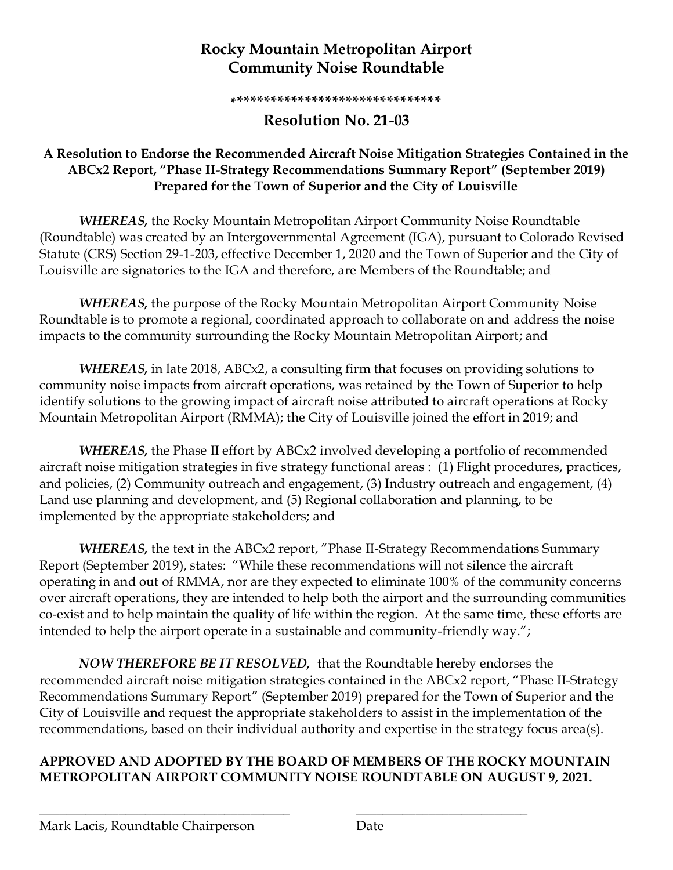# **Rocky Mountain Metropolitan Airport Community Noise Roundtable**

**\*\*\*\*\*\*\*\*\*\*\*\*\*\*\*\*\*\*\*\*\*\*\*\*\*\*\*\*\*\*\***

# **Resolution No. 21-03**

### **A Resolution to Endorse the Recommended Aircraft Noise Mitigation Strategies Contained in the ABCx2 Report, "Phase II-Strategy Recommendations Summary Report" (September 2019) Prepared for the Town of Superior and the City of Louisville**

*WHEREAS,* the Rocky Mountain Metropolitan Airport Community Noise Roundtable (Roundtable) was created by an Intergovernmental Agreement (IGA), pursuant to Colorado Revised Statute (CRS) Section 29-1-203, effective December 1, 2020 and the Town of Superior and the City of Louisville are signatories to the IGA and therefore, are Members of the Roundtable; and

*WHEREAS,* the purpose of the Rocky Mountain Metropolitan Airport Community Noise Roundtable is to promote a regional, coordinated approach to collaborate on and address the noise impacts to the community surrounding the Rocky Mountain Metropolitan Airport; and

*WHEREAS,* in late 2018, ABCx2, a consulting firm that focuses on providing solutions to community noise impacts from aircraft operations, was retained by the Town of Superior to help identify solutions to the growing impact of aircraft noise attributed to aircraft operations at Rocky Mountain Metropolitan Airport (RMMA); the City of Louisville joined the effort in 2019; and

*WHEREAS,* the Phase II effort by ABCx2 involved developing a portfolio of recommended aircraft noise mitigation strategies in five strategy functional areas : (1) Flight procedures, practices, and policies, (2) Community outreach and engagement, (3) Industry outreach and engagement, (4) Land use planning and development, and (5) Regional collaboration and planning, to be implemented by the appropriate stakeholders; and

*WHEREAS,* the text in the ABCx2 report, "Phase II-Strategy Recommendations Summary Report (September 2019), states: "While these recommendations will not silence the aircraft operating in and out of RMMA, nor are they expected to eliminate 100% of the community concerns over aircraft operations, they are intended to help both the airport and the surrounding communities co-exist and to help maintain the quality of life within the region. At the same time, these efforts are intended to help the airport operate in a sustainable and community-friendly way.";

*NOW THEREFORE BE IT RESOLVED,* that the Roundtable hereby endorses the recommended aircraft noise mitigation strategies contained in the ABCx2 report, "Phase II-Strategy Recommendations Summary Report" (September 2019) prepared for the Town of Superior and the City of Louisville and request the appropriate stakeholders to assist in the implementation of the recommendations, based on their individual authority and expertise in the strategy focus area(s).

## **APPROVED AND ADOPTED BY THE BOARD OF MEMBERS OF THE ROCKY MOUNTAIN METROPOLITAN AIRPORT COMMUNITY NOISE ROUNDTABLE ON AUGUST 9, 2021.**

\_\_\_\_\_\_\_\_\_\_\_\_\_\_\_\_\_\_\_\_\_\_\_\_\_\_\_\_\_\_\_\_\_\_\_\_\_\_ \_\_\_\_\_\_\_\_\_\_\_\_\_\_\_\_\_\_\_\_\_\_\_\_\_\_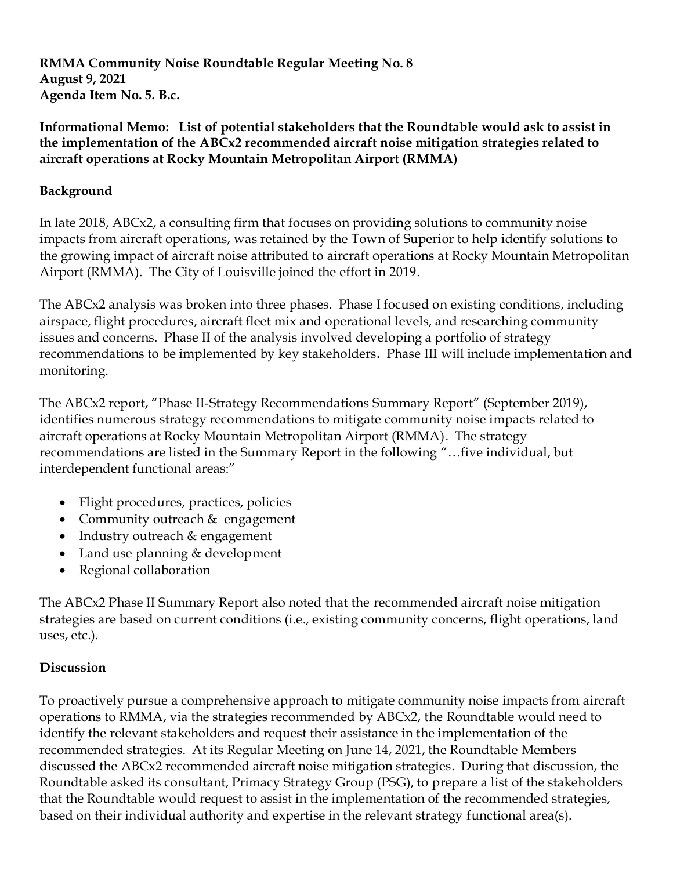**RMMA Community Noise Roundtable Regular Meeting No. 8 August 9, 2021 Agenda Item No. 5. B.c.**

**Informational Memo: List of potential stakeholders that the Roundtable would ask to assist in the implementation of the ABCx2 recommended aircraft noise mitigation strategies related to aircraft operations at Rocky Mountain Metropolitan Airport (RMMA)**

## **Background**

In late 2018, ABCx2, a consulting firm that focuses on providing solutions to community noise impacts from aircraft operations, was retained by the Town of Superior to help identify solutions to the growing impact of aircraft noise attributed to aircraft operations at Rocky Mountain Metropolitan Airport (RMMA). The City of Louisville joined the effort in 2019.

The ABCx2 analysis was broken into three phases. Phase I focused on existing conditions, including airspace, flight procedures, aircraft fleet mix and operational levels, and researching community issues and concerns. Phase II of the analysis involved developing a portfolio of strategy recommendations to be implemented by key stakeholders**.** Phase III will include implementation and monitoring.

The ABCx2 report, "Phase II-Strategy Recommendations Summary Report" (September 2019), identifies numerous strategy recommendations to mitigate community noise impacts related to aircraft operations at Rocky Mountain Metropolitan Airport (RMMA). The strategy recommendations are listed in the Summary Report in the following "…five individual, but interdependent functional areas:"

- Flight procedures, practices, policies
- Community outreach & engagement
- Industry outreach & engagement
- Land use planning & development
- Regional collaboration

The ABCx2 Phase II Summary Report also noted that the recommended aircraft noise mitigation strategies are based on current conditions (i.e., existing community concerns, flight operations, land uses, etc.).

### **Discussion**

To proactively pursue a comprehensive approach to mitigate community noise impacts from aircraft operations to RMMA, via the strategies recommended by ABCx2, the Roundtable would need to identify the relevant stakeholders and request their assistance in the implementation of the recommended strategies. At its Regular Meeting on June 14, 2021, the Roundtable Members discussed the ABCx2 recommended aircraft noise mitigation strategies. During that discussion, the Roundtable asked its consultant, Primacy Strategy Group (PSG), to prepare a list of the stakeholders that the Roundtable would request to assist in the implementation of the recommended strategies, based on their individual authority and expertise in the relevant strategy functional area(s).